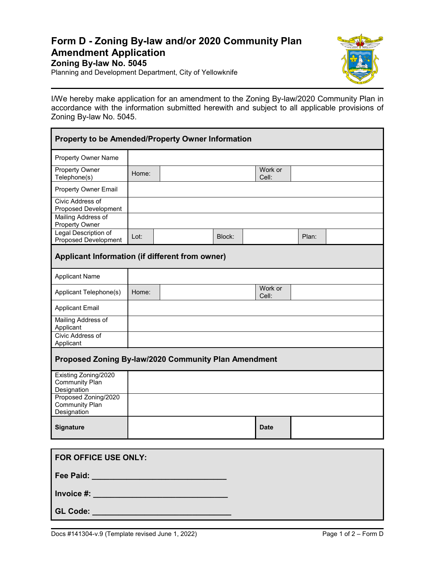## **Form D - Zoning By-law and/or 2020 Community Plan Amendment Application**

**Zoning By-law No. 5045**

Planning and Development Department, City of Yellowknife



I/We hereby make application for an amendment to the Zoning By-law/2020 Community Plan in accordance with the information submitted herewith and subject to all applicable provisions of Zoning By-law No. 5045.

| Property to be Amended/Property Owner Information            |       |  |        |             |         |       |  |  |
|--------------------------------------------------------------|-------|--|--------|-------------|---------|-------|--|--|
| <b>Property Owner Name</b>                                   |       |  |        |             |         |       |  |  |
| Property Owner<br>Telephone(s)                               | Home: |  |        | Cell:       | Work or |       |  |  |
| <b>Property Owner Email</b>                                  |       |  |        |             |         |       |  |  |
| Civic Address of<br>Proposed Development                     |       |  |        |             |         |       |  |  |
| Mailing Address of<br><b>Property Owner</b>                  |       |  |        |             |         |       |  |  |
| Legal Description of<br><b>Proposed Development</b>          | Lot:  |  | Block: |             |         | Plan: |  |  |
| Applicant Information (if different from owner)              |       |  |        |             |         |       |  |  |
| <b>Applicant Name</b>                                        |       |  |        |             |         |       |  |  |
| Applicant Telephone(s)                                       | Home: |  |        | Cell:       | Work or |       |  |  |
| <b>Applicant Email</b>                                       |       |  |        |             |         |       |  |  |
| Mailing Address of<br>Applicant                              |       |  |        |             |         |       |  |  |
| Civic Address of<br>Applicant                                |       |  |        |             |         |       |  |  |
| Proposed Zoning By-law/2020 Community Plan Amendment         |       |  |        |             |         |       |  |  |
| Existing Zoning/2020<br><b>Community Plan</b><br>Designation |       |  |        |             |         |       |  |  |
| Proposed Zoning/2020<br><b>Community Plan</b><br>Designation |       |  |        |             |         |       |  |  |
| Signature                                                    |       |  |        | <b>Date</b> |         |       |  |  |

| <b>FOR OFFICE USE ONLY:</b>                                                                                                    |  |
|--------------------------------------------------------------------------------------------------------------------------------|--|
| Fee Paid:                                                                                                                      |  |
| Invoice #:<br>and the control of the control of the control of the control of the control of the control of the control of the |  |
| <b>GL Code:</b>                                                                                                                |  |